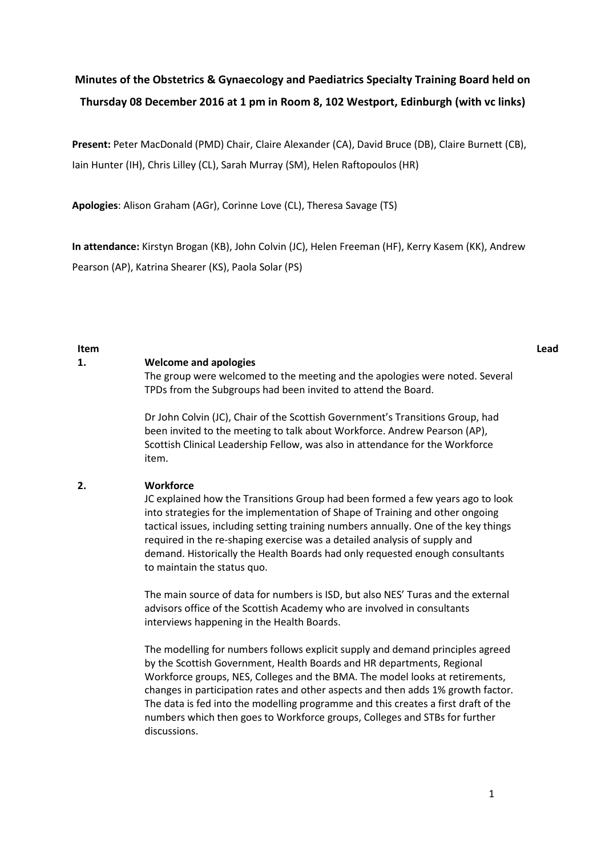# **Minutes of the Obstetrics & Gynaecology and Paediatrics Specialty Training Board held on Thursday 08 December 2016 at 1 pm in Room 8, 102 Westport, Edinburgh (with vc links)**

**Present:** Peter MacDonald (PMD) Chair, Claire Alexander (CA), David Bruce (DB), Claire Burnett (CB), Iain Hunter (IH), Chris Lilley (CL), Sarah Murray (SM), Helen Raftopoulos (HR)

**Apologies**: Alison Graham (AGr), Corinne Love (CL), Theresa Savage (TS)

**In attendance:** Kirstyn Brogan (KB), John Colvin (JC), Helen Freeman (HF), Kerry Kasem (KK), Andrew Pearson (AP), Katrina Shearer (KS), Paola Solar (PS)

**Item Lead**

#### **1. Welcome and apologies**

The group were welcomed to the meeting and the apologies were noted. Several TPDs from the Subgroups had been invited to attend the Board.

Dr John Colvin (JC), Chair of the Scottish Government's Transitions Group, had been invited to the meeting to talk about Workforce. Andrew Pearson (AP), Scottish Clinical Leadership Fellow, was also in attendance for the Workforce item.

#### **2. Workforce**

JC explained how the Transitions Group had been formed a few years ago to look into strategies for the implementation of Shape of Training and other ongoing tactical issues, including setting training numbers annually. One of the key things required in the re-shaping exercise was a detailed analysis of supply and demand. Historically the Health Boards had only requested enough consultants to maintain the status quo.

The main source of data for numbers is ISD, but also NES' Turas and the external advisors office of the Scottish Academy who are involved in consultants interviews happening in the Health Boards.

The modelling for numbers follows explicit supply and demand principles agreed by the Scottish Government, Health Boards and HR departments, Regional Workforce groups, NES, Colleges and the BMA. The model looks at retirements, changes in participation rates and other aspects and then adds 1% growth factor. The data is fed into the modelling programme and this creates a first draft of the numbers which then goes to Workforce groups, Colleges and STBs for further discussions.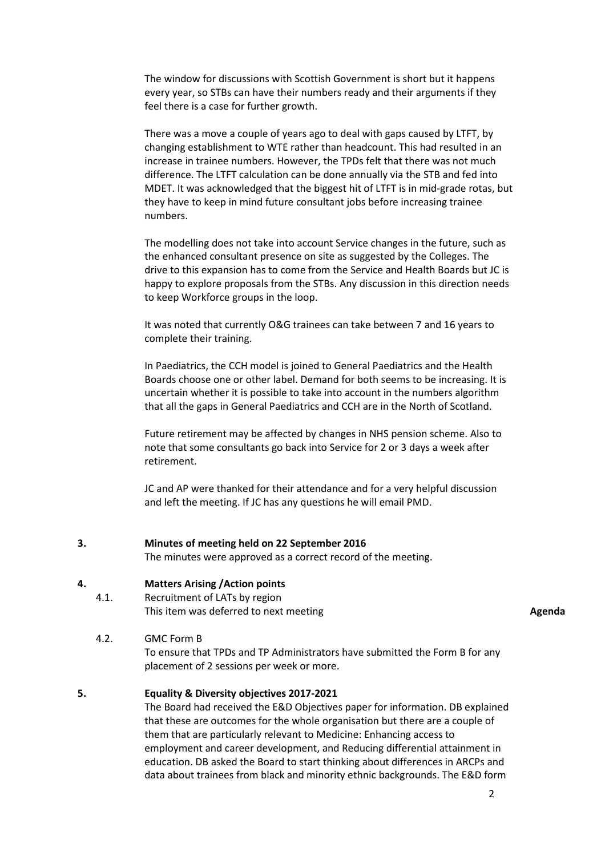The window for discussions with Scottish Government is short but it happens every year, so STBs can have their numbers ready and their arguments if they feel there is a case for further growth.

There was a move a couple of years ago to deal with gaps caused by LTFT, by changing establishment to WTE rather than headcount. This had resulted in an increase in trainee numbers. However, the TPDs felt that there was not much difference. The LTFT calculation can be done annually via the STB and fed into MDET. It was acknowledged that the biggest hit of LTFT is in mid-grade rotas, but they have to keep in mind future consultant jobs before increasing trainee numbers.

The modelling does not take into account Service changes in the future, such as the enhanced consultant presence on site as suggested by the Colleges. The drive to this expansion has to come from the Service and Health Boards but JC is happy to explore proposals from the STBs. Any discussion in this direction needs to keep Workforce groups in the loop.

It was noted that currently O&G trainees can take between 7 and 16 years to complete their training.

In Paediatrics, the CCH model is joined to General Paediatrics and the Health Boards choose one or other label. Demand for both seems to be increasing. It is uncertain whether it is possible to take into account in the numbers algorithm that all the gaps in General Paediatrics and CCH are in the North of Scotland.

Future retirement may be affected by changes in NHS pension scheme. Also to note that some consultants go back into Service for 2 or 3 days a week after retirement.

JC and AP were thanked for their attendance and for a very helpful discussion and left the meeting. If JC has any questions he will email PMD.

**3. Minutes of meeting held on 22 September 2016**

The minutes were approved as a correct record of the meeting.

#### **4. Matters Arising /Action points**

4.1. Recruitment of LATs by region This item was deferred to next meeting **Agents Agents Agents Agents** 

4.2. GMC Form B

To ensure that TPDs and TP Administrators have submitted the Form B for any placement of 2 sessions per week or more.

#### **5. Equality & Diversity objectives 2017-2021**

The Board had received the E&D Objectives paper for information. DB explained that these are outcomes for the whole organisation but there are a couple of them that are particularly relevant to Medicine: Enhancing access to employment and career development, and Reducing differential attainment in education. DB asked the Board to start thinking about differences in ARCPs and data about trainees from black and minority ethnic backgrounds. The E&D form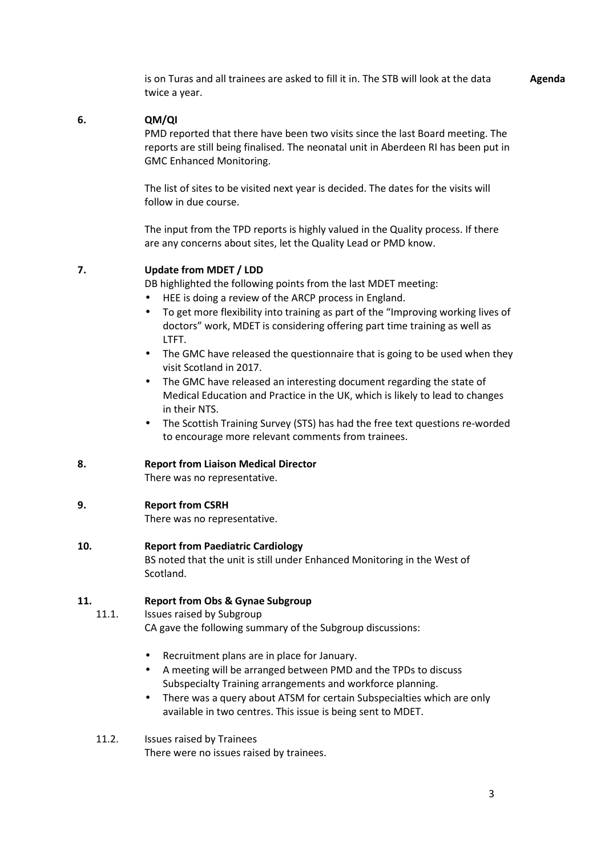is on Turas and all trainees are asked to fill it in. The STB will look at the data twice a year. **Agenda**

#### **6. QM/QI**

PMD reported that there have been two visits since the last Board meeting. The reports are still being finalised. The neonatal unit in Aberdeen RI has been put in GMC Enhanced Monitoring.

The list of sites to be visited next year is decided. The dates for the visits will follow in due course.

The input from the TPD reports is highly valued in the Quality process. If there are any concerns about sites, let the Quality Lead or PMD know.

#### **7. Update from MDET / LDD**

DB highlighted the following points from the last MDET meeting:

- HEE is doing a review of the ARCP process in England.
- To get more flexibility into training as part of the "Improving working lives of doctors" work, MDET is considering offering part time training as well as LTFT.
- The GMC have released the questionnaire that is going to be used when they visit Scotland in 2017.
- The GMC have released an interesting document regarding the state of Medical Education and Practice in the UK, which is likely to lead to changes in their NTS.
- The Scottish Training Survey (STS) has had the free text questions re-worded to encourage more relevant comments from trainees.

#### **8. Report from Liaison Medical Director**

There was no representative.

#### **9. Report from CSRH**

There was no representative.

#### **10. Report from Paediatric Cardiology**

BS noted that the unit is still under Enhanced Monitoring in the West of Scotland.

#### **11. Report from Obs & Gynae Subgroup**

11.1. Issues raised by Subgroup

CA gave the following summary of the Subgroup discussions:

- Recruitment plans are in place for January.
- A meeting will be arranged between PMD and the TPDs to discuss Subspecialty Training arrangements and workforce planning.
- There was a query about ATSM for certain Subspecialties which are only available in two centres. This issue is being sent to MDET.
- 11.2. Issues raised by Trainees There were no issues raised by trainees.